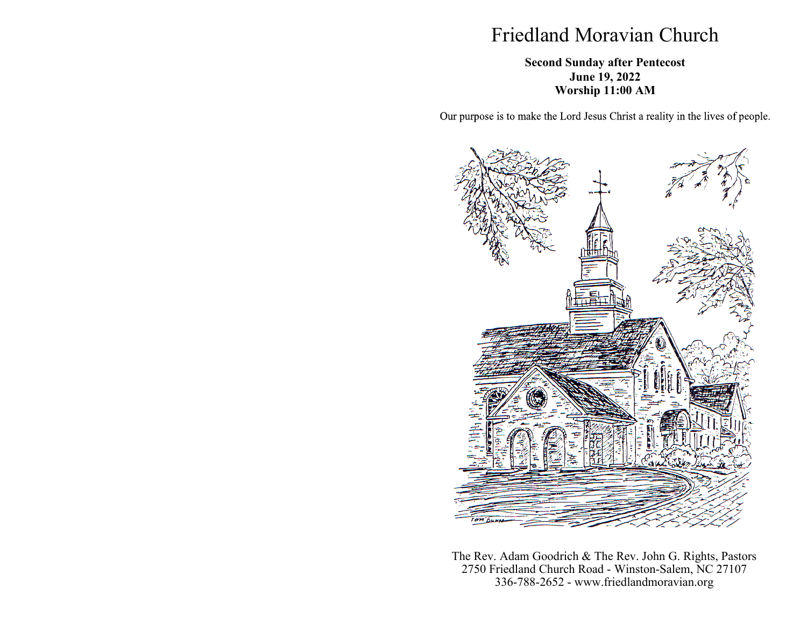# Friedland Moravian Church

### **Second Sunday after Pentecost June 19, 2022 Worship 11:00 AM**

Our purpose is to make the Lord Jesus Christ a reality in the lives of people.



The Rev. Adam Goodrich & The Rev. John G. Rights, Pastors 2750 Friedland Church Road - Winston-Salem, NC 27107 336-788-2652 - www.friedlandmoravian.org